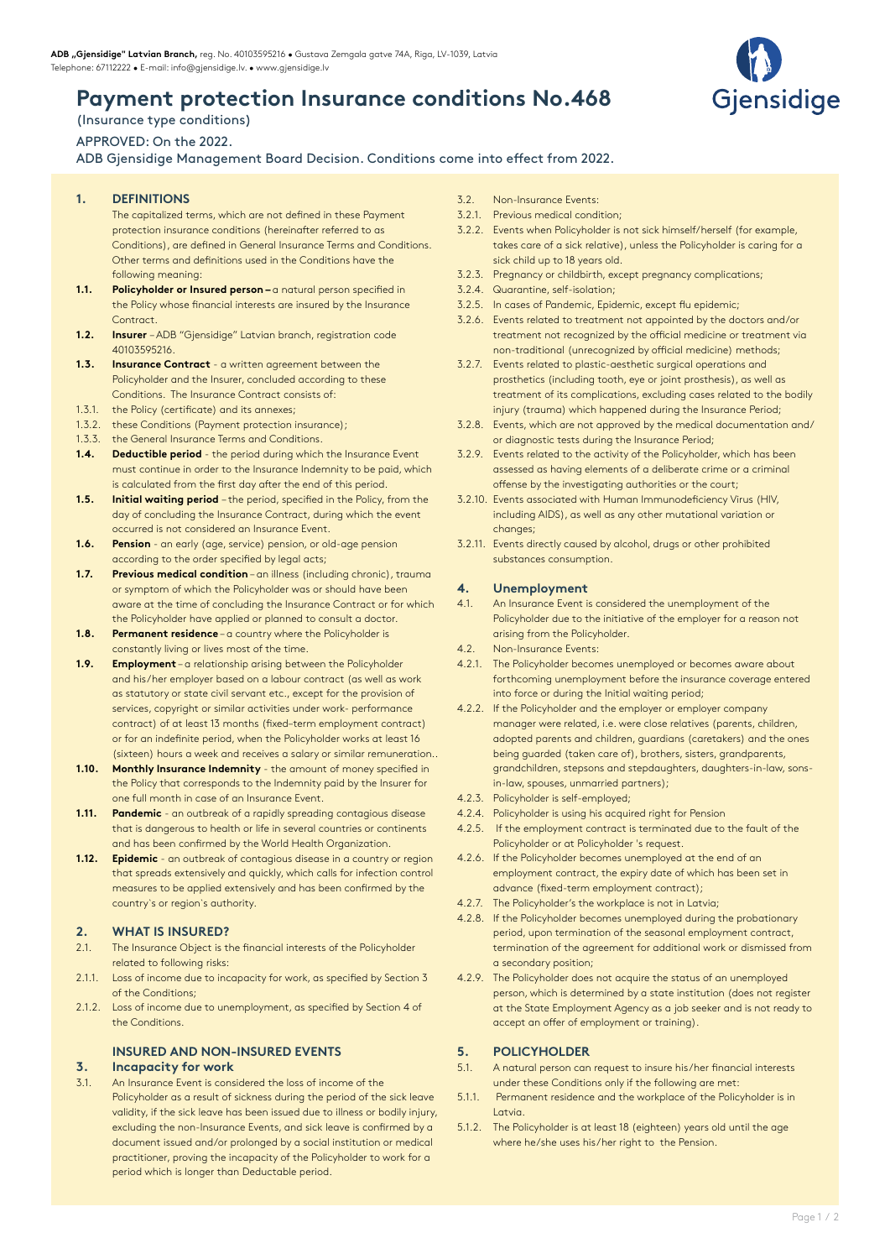# **Payment protection Insurance conditions No.468**

# (Insurance type conditions)

## APPROVED: On the 2022.

## ADB Gjensidige Management Board Decision. Conditions come into effect from 2022.

- **1. DEFINITIONS**
	- The capitalized terms, which are not defined in these Payment protection insurance conditions (hereinafter referred to as Conditions), are defined in General Insurance Terms and Conditions. Other terms and definitions used in the Conditions have the following meaning:
- **1.1. Policyholder or Insured person** a natural person specified in the Policy whose financial interests are insured by the Insurance Contract.
- **1.2. Insurer**  ADB "Gjensidige" Latvian branch, registration code 40103595216.
- **1.3. Insurance Contract** a written agreement between the Policyholder and the Insurer, concluded according to these Conditions. The Insurance Contract consists of:
- 1.3.1. the Policy (certificate) and its annexes;
- 1.3.2. these Conditions (Payment protection insurance);
- 1.3.3. the General Insurance Terms and Conditions.
- **1.4. Deductible period** the period during which the Insurance Event must continue in order to the Insurance Indemnity to be paid, which is calculated from the first day after the end of this period.
- **1.5. Initial waiting period**  the period, specified in the Policy, from the day of concluding the Insurance Contract, during which the event occurred is not considered an Insurance Event.
- **1.6. Pension** an early (age, service) pension, or old-age pension according to the order specified by legal acts;
- **1.7. Previous medical condition** an illness (including chronic), trauma or symptom of which the Policyholder was or should have been aware at the time of concluding the Insurance Contract or for which the Policyholder have applied or planned to consult a doctor.
- **1.8. Permanent residence** a country where the Policyholder is constantly living or lives most of the time.
- **1.9. Employment** a relationship arising between the Policyholder and his/her employer based on a labour contract (as well as work as statutory or state civil servant etc., except for the provision of services, copyright or similar activities under work- performance contract) of at least 13 months (fixed–term employment contract) or for an indefinite period, when the Policyholder works at least 16 (sixteen) hours a week and receives a salary or similar remuneration..
- **1.10. Monthly Insurance Indemnity** the amount of money specified in the Policy that corresponds to the Indemnity paid by the Insurer for one full month in case of an Insurance Event.
- **1.11. Pandemic** an outbreak of a rapidly spreading contagious disease that is dangerous to health or life in several countries or continents and has been confirmed by the World Health Organization.
- **1.12. Epidemic** an outbreak of contagious disease in a country or region that spreads extensively and quickly, which calls for infection control measures to be applied extensively and has been confirmed by the country`s or region`s authority.

## **2. WHAT IS INSURED?**

- 2.1. The Insurance Object is the financial interests of the Policyholder related to following risks:
- 2.1.1. Loss of income due to incapacity for work, as specified by Section 3 of the Conditions;
- 2.1.2. Loss of income due to unemployment, as specified by Section 4 of the Conditions.

## **INSURED AND NON-INSURED EVENTS**

### **3. Incapacity for work**

3.1. An Insurance Event is considered the loss of income of the Policyholder as a result of sickness during the period of the sick leave validity, if the sick leave has been issued due to illness or bodily injury, excluding the non-Insurance Events, and sick leave is confirmed by a document issued and/or prolonged by a social institution or medical practitioner, proving the incapacity of the Policyholder to work for a period which is longer than Deductable period.

- 3.2. Non-Insurance Events:
- 3.2.1. Previous medical condition;
- 3.2.2. Events when Policyholder is not sick himself/herself (for example, takes care of a sick relative), unless the Policyholder is caring for a sick child up to 18 years old.
- 3.2.3. Pregnancy or childbirth, except pregnancy complications;
- 3.2.4. Quarantine, self-isolation;
- 3.2.5. In cases of Pandemic, Epidemic, except flu epidemic;
- 3.2.6. Events related to treatment not appointed by the doctors and/or treatment not recognized by the official medicine or treatment via non-traditional (unrecognized by official medicine) methods;
- 3.2.7. Events related to plastic-aesthetic surgical operations and prosthetics (including tooth, eye or joint prosthesis), as well as treatment of its complications, excluding cases related to the bodily injury (trauma) which happened during the Insurance Period;
- 3.2.8. Events, which are not approved by the medical documentation and/ or diagnostic tests during the Insurance Period;
- 3.2.9. Events related to the activity of the Policyholder, which has been assessed as having elements of a deliberate crime or a criminal offense by the investigating authorities or the court;
- 3.2.10. Events associated with Human Immunodeficiency Virus (HIV, including AIDS), as well as any other mutational variation or changes;
- 3.2.11. Events directly caused by alcohol, drugs or other prohibited substances consumption.

## **4. Unemployment**

- 4.1. An Insurance Event is considered the unemployment of the Policyholder due to the initiative of the employer for a reason not arising from the Policyholder.
- 4.2. Non-Insurance Events:
- 4.2.1. The Policyholder becomes unemployed or becomes aware about forthcoming unemployment before the insurance coverage entered into force or during the Initial waiting period;
- 4.2.2. If the Policyholder and the employer or employer company manager were related, i.e. were close relatives (parents, children, adopted parents and children, guardians (caretakers) and the ones being guarded (taken care of), brothers, sisters, grandparents, grandchildren, stepsons and stepdaughters, daughters-in-law, sonsin-law, spouses, unmarried partners);
- 4.2.3. Policyholder is self-employed;
- 4.2.4. Policyholder is using his acquired right for Pension
- 4.2.5. If the employment contract is terminated due to the fault of the Policyholder or at Policyholder 's request.
- 4.2.6. If the Policyholder becomes unemployed at the end of an employment contract, the expiry date of which has been set in advance (fixed-term employment contract);
- 4.2.7. The Policyholder's the workplace is not in Latvia;
- 4.2.8. If the Policyholder becomes unemployed during the probationary period, upon termination of the seasonal employment contract, termination of the agreement for additional work or dismissed from a secondary position;
- 4.2.9. The Policyholder does not acquire the status of an unemployed person, which is determined by a state institution (does not register at the State Employment Agency as a job seeker and is not ready to accept an offer of employment or training).

### **5. POLICYHOLDER**

- 5.1. A natural person can request to insure his/her financial interests under these Conditions only if the following are met:
- 5.1.1. Permanent residence and the workplace of the Policyholder is in Latvia.
- 5.1.2. The Policyholder is at least 18 (eighteen) years old until the age where he/she uses his/her right to the Pension.